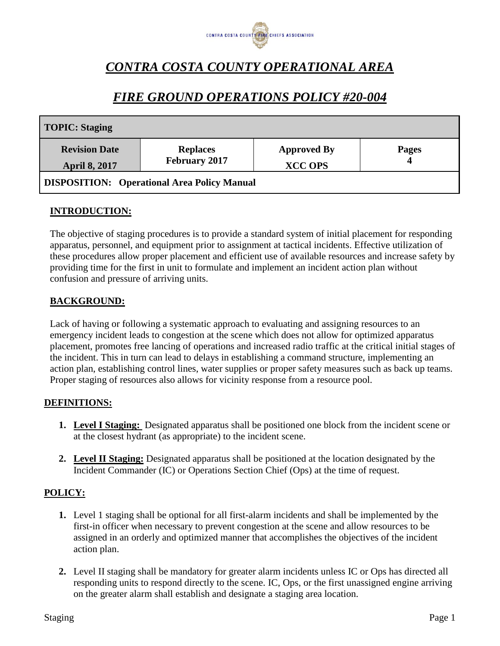

# *CONTRA COSTA COUNTY OPERATIONAL AREA*

## *FIRE GROUND OPERATIONS POLICY #20-004*

| TOPIC: Staging                                     |                                         |                                      |                   |
|----------------------------------------------------|-----------------------------------------|--------------------------------------|-------------------|
| <b>Revision Date</b><br><b>April 8, 2017</b>       | <b>Replaces</b><br><b>February 2017</b> | <b>Approved By</b><br><b>XCC OPS</b> | <b>Pages</b><br>4 |
| <b>DISPOSITION:</b> Operational Area Policy Manual |                                         |                                      |                   |

## **INTRODUCTION:**

The objective of staging procedures is to provide a standard system of initial placement for responding apparatus, personnel, and equipment prior to assignment at tactical incidents. Effective utilization of these procedures allow proper placement and efficient use of available resources and increase safety by providing time for the first in unit to formulate and implement an incident action plan without confusion and pressure of arriving units.

### **BACKGROUND:**

Lack of having or following a systematic approach to evaluating and assigning resources to an emergency incident leads to congestion at the scene which does not allow for optimized apparatus placement, promotes free lancing of operations and increased radio traffic at the critical initial stages of the incident. This in turn can lead to delays in establishing a command structure, implementing an action plan, establishing control lines, water supplies or proper safety measures such as back up teams. Proper staging of resources also allows for vicinity response from a resource pool.

## **DEFINITIONS:**

- **1. Level I Staging:** Designated apparatus shall be positioned one block from the incident scene or at the closest hydrant (as appropriate) to the incident scene.
- **2. Level II Staging:** Designated apparatus shall be positioned at the location designated by the Incident Commander (IC) or Operations Section Chief (Ops) at the time of request.

## **POLICY:**

- **1.** Level 1 staging shall be optional for all first-alarm incidents and shall be implemented by the first-in officer when necessary to prevent congestion at the scene and allow resources to be assigned in an orderly and optimized manner that accomplishes the objectives of the incident action plan.
- **2.** Level II staging shall be mandatory for greater alarm incidents unless IC or Ops has directed all responding units to respond directly to the scene. IC, Ops, or the first unassigned engine arriving on the greater alarm shall establish and designate a staging area location.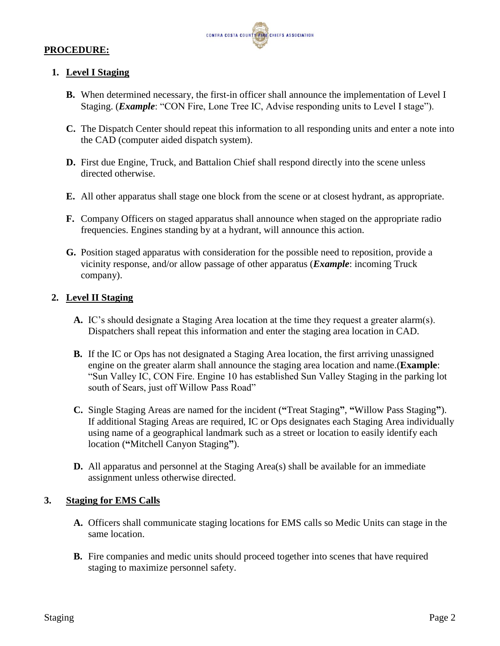#### **PROCEDURE:**



#### **1. Level I Staging**

- **B.** When determined necessary, the first-in officer shall announce the implementation of Level I Staging. (*Example*: "CON Fire, Lone Tree IC, Advise responding units to Level I stage").
- **C.** The Dispatch Center should repeat this information to all responding units and enter a note into the CAD (computer aided dispatch system).
- **D.** First due Engine, Truck, and Battalion Chief shall respond directly into the scene unless directed otherwise.
- **E.** All other apparatus shall stage one block from the scene or at closest hydrant, as appropriate.
- **F.** Company Officers on staged apparatus shall announce when staged on the appropriate radio frequencies. Engines standing by at a hydrant, will announce this action.
- **G.** Position staged apparatus with consideration for the possible need to reposition, provide a vicinity response, and/or allow passage of other apparatus (*Example*: incoming Truck company).

#### **2. Level II Staging**

- **A.** IC's should designate a Staging Area location at the time they request a greater alarm(s). Dispatchers shall repeat this information and enter the staging area location in CAD.
- **B.** If the IC or Ops has not designated a Staging Area location, the first arriving unassigned engine on the greater alarm shall announce the staging area location and name.(**Example**: "Sun Valley IC, CON Fire. Engine 10 has established Sun Valley Staging in the parking lot south of Sears, just off Willow Pass Road"
- **C.** Single Staging Areas are named for the incident (**"**Treat Staging**"**, **"**Willow Pass Staging**"**). If additional Staging Areas are required, IC or Ops designates each Staging Area individually using name of a geographical landmark such as a street or location to easily identify each location (**"**Mitchell Canyon Staging**"**).
- **D.** All apparatus and personnel at the Staging Area(s) shall be available for an immediate assignment unless otherwise directed.

#### **3. Staging for EMS Calls**

- **A.** Officers shall communicate staging locations for EMS calls so Medic Units can stage in the same location.
- **B.** Fire companies and medic units should proceed together into scenes that have required staging to maximize personnel safety.